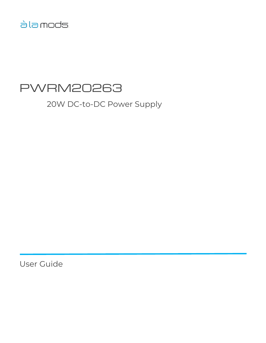# àla mods

# PWRM20263

20W DC-to-DC Power Supply

User Guide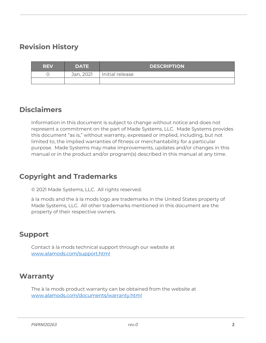# <span id="page-1-0"></span>**Revision History**

| <b>REV</b> | <b>DATE</b> | <b>DESCRIPTION</b> |
|------------|-------------|--------------------|
|            | Jan, 2021   | Initial release    |
|            |             |                    |

# <span id="page-1-1"></span>**Disclaimers**

Information in this document is subject to change without notice and does not represent a commitment on the part of Made Systems, LLC. Made Systems provides this document "as is," without warranty, expressed or implied, including, but not limited to, the implied warranties of fitness or merchantability for a particular purpose. Made Systems may make improvements, updates and/or changes in this manual or in the product and/or program(s) described in this manual at any time.

# <span id="page-1-2"></span>**Copyright and Trademarks**

© 2021 Made Systems, LLC. All rights reserved.

à la mods and the à la mods logo are trademarks in the United States property of Made Systems, LLC. All other trademarks mentioned in this document are the property of their respective owners.

# <span id="page-1-3"></span>**Support**

Contact à la mods technical support through our website at [www.alamods.com/support.html](http://www.alamods.com/support.html)

# <span id="page-1-4"></span>**Warranty**

The à la mods product warranty can be obtained from the website at [www.alamods.com/documents/warranty.html](http://www.alamods.com/documents/warranty.html)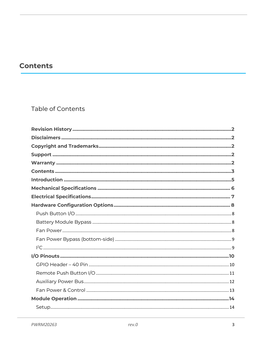# <span id="page-2-0"></span>**Contents**

# Table of Contents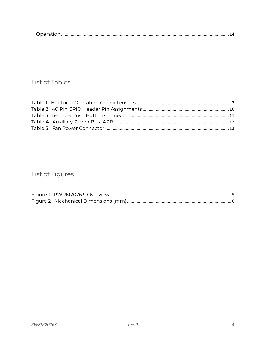### List of Tables

# List of Figures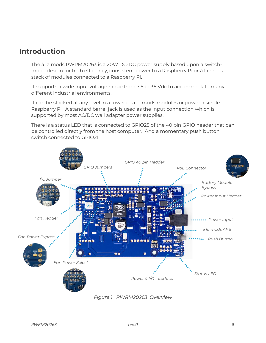### <span id="page-4-0"></span>**Introduction**

The à la mods PWRM20263 is a 20W DC-DC power supply based upon a switchmode design for high efficiency, consistent power to a Raspberry Pi or à la mods stack of modules connected to a Raspberry Pi.

It supports a wide input voltage range from 7.5 to 36 Vdc to accommodate many different industrial environments.

It can be stacked at any level in a tower of à la mods modules or power a single Raspberry Pi. A standard barrel jack is used as the input connection which is supported by most AC/DC wall adapter power supplies.

There is a status LED that is connected to GPIO25 of the 40 pin GPIO header that can be controlled directly from the host computer. And a momentary push button switch connected to GPIO21.



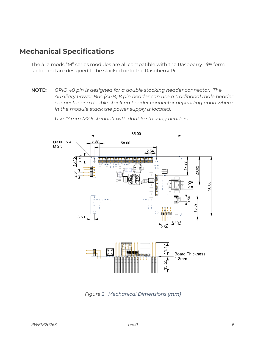# <span id="page-5-0"></span>**Mechanical Specifications**

The à la mods "M" series modules are all compatible with the Raspberry Pi® form factor and are designed to be stacked onto the Raspberry Pi.

**NOTE:** *GPIO 40 pin is designed for a double stacking header connector. The Auxiliary Power Bus (APB) 8 pin header can use a traditional male header connector or a double stacking header connector depending upon where in the module stack the power supply is located.*



*Use 17 mm M2.5 standoff with double stacking headers*

<span id="page-5-1"></span>*Figure 2 Mechanical Dimensions (mm)*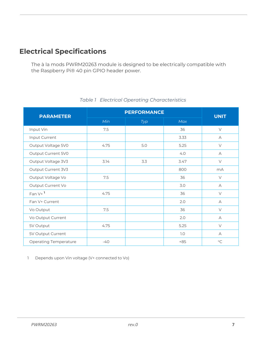# <span id="page-6-0"></span>**Electrical Specifications**

The à la mods PWRM20263 module is designed to be electrically compatible with the Raspberry Pi® 40 pin GPIO header power.

<span id="page-6-1"></span>

| <b>PARAMETER</b>             | <b>PERFORMANCE</b> | <b>UNIT</b> |       |             |
|------------------------------|--------------------|-------------|-------|-------------|
|                              | Min                | Typ         | Max   |             |
| Input Vin                    | 7.5                |             | 36    | $\vee$      |
| Input Current                |                    |             | 3.33  | А           |
| Output Voltage 5V0           | 4.75               | 5.0         | 5.25  | $\vee$      |
| Output Current 5V0           |                    |             | 4.0   | A           |
| Output Voltage 3V3           | 3.14               | 3.3         | 3.47  | $\vee$      |
| Output Current 3V3           |                    |             | 800   | mA          |
| Output Voltage Vo            | 7.5                |             | 36    | $\vee$      |
| Output Current Vo            |                    |             | 3.0   | А           |
| Fan $V+$ <sup>1</sup>        | 4.75               |             | 36    | $\vee$      |
| Fan V+ Current               |                    |             | 2.0   | $\forall$   |
| Vo Output                    | 7.5                |             | 36    | $\vee$      |
| Vo Output Current            |                    |             | 2.0   | A           |
| 5V Output                    | 4.75               |             | 5.25  | $\vee$      |
| 5V Output Current            |                    |             | 7.0   | $\forall$   |
| <b>Operating Temperature</b> | $-40$              |             | $+85$ | $^{\circ}C$ |

#### *Table 1 Electrical Operating Characteristics*

1 Depends upon Vin voltage (V+ connected to Vo)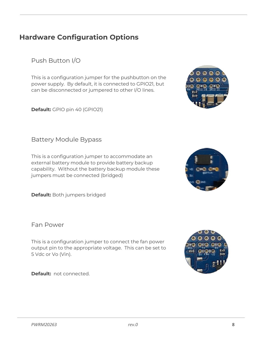# <span id="page-7-0"></span>**Hardware Configuration Options**

<span id="page-7-1"></span>Push Button I/O

This is a configuration jumper for the pushbutton on the power supply. By default, it is connected to GPIO21, but can be disconnected or jumpered to other I/O lines.

**Default:** GPIO pin 40 (GPIO21)

#### <span id="page-7-2"></span>Battery Module Bypass

This is a configuration jumper to accommodate an external battery module to provide battery backup capability. Without the battery backup module these jumpers must be connected (bridged)

**Default:** Both jumpers bridged

<span id="page-7-3"></span>Fan Power

This is a configuration jumper to connect the fan power output pin to the appropriate voltage. This can be set to 5 Vdc or Vo (Vin).

**Default:** not connected.





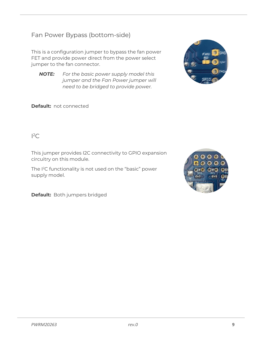### <span id="page-8-0"></span>Fan Power Bypass (bottom-side)

This is a configuration jumper to bypass the fan power FET and provide power direct from the power select jumper to the fan connector.

*NOTE: For the basic power supply model this jumper and the Fan Power jumper will need to be bridged to provide power.*





#### <span id="page-8-1"></span> ${}^{12}C$

This jumper provides I2C connectivity to GPIO expansion circuitry on this module.

The I <sup>2</sup>C functionality is not used on the "basic" power supply model.



**Default:** Both jumpers bridged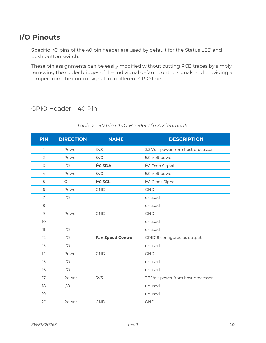# <span id="page-9-0"></span>**I/O Pinouts**

Specific I/O pins of the 40 pin header are used by default for the Status LED and push button switch.

These pin assignments can be easily modified without cutting PCB traces by simply removing the solder bridges of the individual default control signals and providing a jumper from the control signal to a different GPIO line.

#### <span id="page-9-1"></span>GPIO Header – 40 Pin

<span id="page-9-2"></span>

| <b>PIN</b>     | <b>DIRECTION</b>         | <b>NAME</b>              | <b>DESCRIPTION</b>                 |
|----------------|--------------------------|--------------------------|------------------------------------|
| 1              | Power                    | 3V <sub>3</sub>          | 3.3 Volt power from host processor |
| $\overline{2}$ | Power                    | 5V <sub>O</sub>          | 5.0 Volt power                     |
| 3              | I/O                      | $I2C$ SDA                | I <sup>2</sup> C Data Signal       |
| 4              | Power                    | <b>5V0</b>               | 5.0 Volt power                     |
| 5              | $\circ$                  | I <sup>2</sup> C SCL     | I <sup>2</sup> C Clock Signal      |
| 6              | Power                    | <b>GND</b>               | <b>GND</b>                         |
| 7              | I/O                      | $\overline{\phantom{a}}$ | unused                             |
| 8              | $\overline{\phantom{0}}$ | $\overline{\phantom{a}}$ | unused                             |
| $\mathcal{Q}$  | Power                    | <b>GND</b>               | <b>GND</b>                         |
| 10             | $\overline{\phantom{0}}$ | $\equiv$                 | unused                             |
| 11             | I/O                      | $\overline{\phantom{a}}$ | unused                             |
| 12             | I/O                      | <b>Fan Speed Control</b> | GPIO18 configured as output        |
| 13             | I/O                      | $\overline{\phantom{a}}$ | unused                             |
| 14             | Power                    | <b>GND</b>               | <b>GND</b>                         |
| 15             | I/O                      | $\overline{\phantom{a}}$ | unused                             |
| 16             | I/O                      | $\qquad \qquad -$        | unused                             |
| 17             | Power                    | 3V <sub>3</sub>          | 3.3 Volt power from host processor |
| 18             | I/O                      | $\overline{\phantom{a}}$ | unused                             |
| 19             | $\overline{\phantom{0}}$ | $\overline{\phantom{a}}$ | unused                             |
| 20             | Power                    | <b>GND</b>               | <b>GND</b>                         |

#### *Table 2 40 Pin GPIO Header Pin Assignments*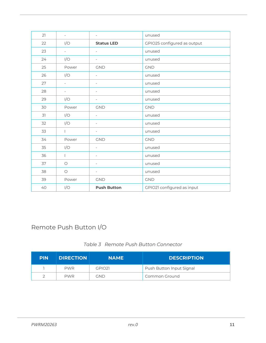| 21 | $\overline{\phantom{a}}$ | $\overline{\phantom{a}}$ | unused                      |
|----|--------------------------|--------------------------|-----------------------------|
| 22 | I/O                      | <b>Status LED</b>        | GPIO25 configured as output |
| 23 | $\overline{\phantom{0}}$ | $\overline{\phantom{a}}$ | unused                      |
| 24 | I/O                      | $\overline{\phantom{a}}$ | unused                      |
| 25 | Power                    | <b>GND</b>               | <b>GND</b>                  |
| 26 | I/O                      | $\overline{\phantom{a}}$ | unused                      |
| 27 | $\overline{\phantom{0}}$ | $\overline{\phantom{a}}$ | unused                      |
| 28 | $\overline{\phantom{a}}$ | $\overline{\phantom{a}}$ | unused                      |
| 29 | I/O                      | $\overline{\phantom{a}}$ | unused                      |
| 30 | Power                    | <b>GND</b>               | <b>GND</b>                  |
| 31 | I/O                      | $\bar{a}$                | unused                      |
| 32 | I/O                      | $\overline{\phantom{a}}$ | unused                      |
| 33 | $\mathbf{L}$             | $\overline{\phantom{a}}$ | unused                      |
| 34 | Power                    | <b>GND</b>               | <b>GND</b>                  |
| 35 | I/O                      | $\overline{\phantom{a}}$ | unused                      |
| 36 | $\mathbf{L}$             | $\overline{\phantom{a}}$ | unused                      |
| 37 | $\circ$                  | $\overline{\phantom{a}}$ | unused                      |
| 38 | $\bigcirc$               | $\overline{\phantom{a}}$ | unused                      |
| 39 | Power                    | <b>GND</b>               | <b>GND</b>                  |
| 40 | I/O                      | <b>Push Button</b>       | GPIO21 configured as input  |

### <span id="page-10-0"></span>Remote Push Button I/O

|  |  | Table 3 Remote Push Button Connector |
|--|--|--------------------------------------|
|  |  |                                      |

<span id="page-10-1"></span>

| <b>PIN</b> | <b>DIRECTION</b> | <b>NAME</b> | <b>DESCRIPTION</b>       |
|------------|------------------|-------------|--------------------------|
|            | <b>PWR</b>       | GPIO21      | Push Button Input Signal |
|            | <b>PWR</b>       | gnd         | Common Ground            |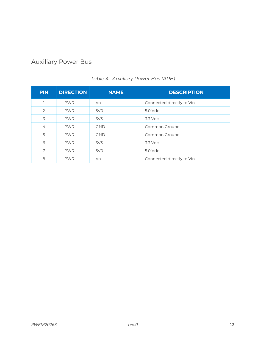### <span id="page-11-0"></span>Auxiliary Power Bus

<span id="page-11-1"></span>

| <b>PIN</b>     | <b>DIRECTION</b> | <b>NAME</b>     | <b>DESCRIPTION</b>        |
|----------------|------------------|-----------------|---------------------------|
|                | <b>PWR</b>       | Vo.             | Connected directly to Vin |
| $\overline{2}$ | <b>PWR</b>       | 5V <sub>O</sub> | $5.0$ Vdc                 |
| 3              | <b>PWR</b>       | 3V <sub>3</sub> | $3.3$ Vdc                 |
| $\overline{4}$ | <b>PWR</b>       | <b>GND</b>      | Common Ground             |
| 5              | <b>PWR</b>       | <b>GND</b>      | Common Ground             |
| 6              | <b>PWR</b>       | 3V <sub>3</sub> | 3.3 Vdc                   |
| 7              | <b>PWR</b>       | 5V <sub>0</sub> | 5.0 Vdc                   |
| 8              | <b>PWR</b>       | Vo              | Connected directly to Vin |

#### *Table 4 Auxiliary Power Bus (APB)*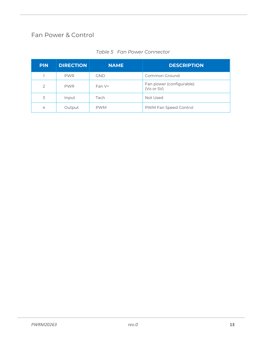### <span id="page-12-0"></span>Fan Power & Control

<span id="page-12-1"></span>

| <b>PIN</b> | <b>DIRECTION</b> | <b>NAME</b> | <b>DESCRIPTION</b>                     |
|------------|------------------|-------------|----------------------------------------|
|            | <b>PWR</b>       | <b>GND</b>  | Common Ground                          |
| 2          | <b>PWR</b>       | $Fan V+$    | Fan power (configurable)<br>(Vo or 5V) |
| 3          | Input            | Tach        | Not Used                               |
| 4          | Output           | <b>PWM</b>  | PWM Fan Speed Control                  |

#### *Table 5 Fan Power Connector*